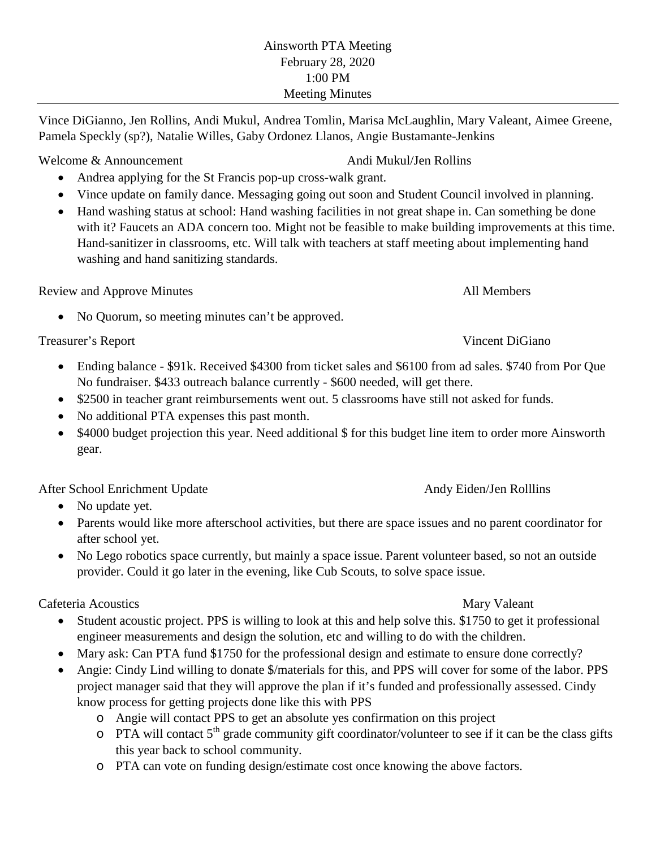Vince DiGianno, Jen Rollins, Andi Mukul, Andrea Tomlin, Marisa McLaughlin, Mary Valeant, Aimee Greene, Pamela Speckly (sp?), Natalie Willes, Gaby Ordonez Llanos, Angie Bustamante-Jenkins

# Welcome & Announcement Andi Mukul/Jen Rollins

- Andrea applying for the St Francis pop-up cross-walk grant.
- Vince update on family dance. Messaging going out soon and Student Council involved in planning.
- Hand washing status at school: Hand washing facilities in not great shape in. Can something be done with it? Faucets an ADA concern too. Might not be feasible to make building improvements at this time. Hand-sanitizer in classrooms, etc. Will talk with teachers at staff meeting about implementing hand washing and hand sanitizing standards.

Review and Approve Minutes All Members All Members

• No Quorum, so meeting minutes can't be approved.

Treasurer's Report Vincent DiGiano

- Ending balance \$91k. Received \$4300 from ticket sales and \$6100 from ad sales. \$740 from Por Que No fundraiser. \$433 outreach balance currently - \$600 needed, will get there.
- \$2500 in teacher grant reimbursements went out. 5 classrooms have still not asked for funds.
- No additional PTA expenses this past month.
- \$4000 budget projection this year. Need additional \$ for this budget line item to order more Ainsworth gear.

After School Enrichment Update Andy Eiden/Jen Rolllins

- No update yet.
- Parents would like more afterschool activities, but there are space issues and no parent coordinator for after school yet.
- No Lego robotics space currently, but mainly a space issue. Parent volunteer based, so not an outside provider. Could it go later in the evening, like Cub Scouts, to solve space issue.

Cafeteria Acoustics **Mary Valeant** Mary Valeant

- Student acoustic project. PPS is willing to look at this and help solve this. \$1750 to get it professional engineer measurements and design the solution, etc and willing to do with the children.
- Mary ask: Can PTA fund \$1750 for the professional design and estimate to ensure done correctly?
- Angie: Cindy Lind willing to donate \$/materials for this, and PPS will cover for some of the labor. PPS project manager said that they will approve the plan if it's funded and professionally assessed. Cindy know process for getting projects done like this with PPS
	- o Angie will contact PPS to get an absolute yes confirmation on this project
	- $\circ$  PTA will contact 5<sup>th</sup> grade community gift coordinator/volunteer to see if it can be the class gifts this year back to school community.
	- o PTA can vote on funding design/estimate cost once knowing the above factors.